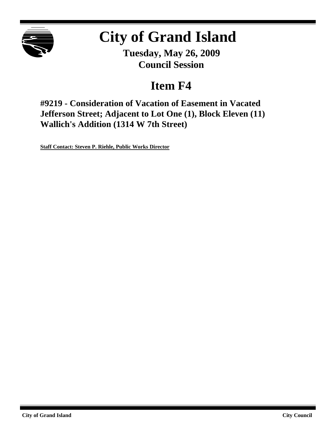

# **City of Grand Island**

**Tuesday, May 26, 2009 Council Session**

## **Item F4**

**#9219 - Consideration of Vacation of Easement in Vacated Jefferson Street; Adjacent to Lot One (1), Block Eleven (11) Wallich's Addition (1314 W 7th Street)**

**Staff Contact: Steven P. Riehle, Public Works Director**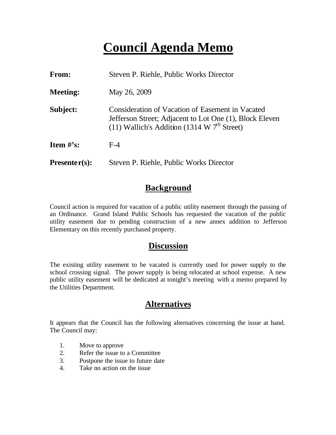## **Council Agenda Memo**

| From:           | Steven P. Riehle, Public Works Director                                                                                                                      |
|-----------------|--------------------------------------------------------------------------------------------------------------------------------------------------------------|
| <b>Meeting:</b> | May 26, 2009                                                                                                                                                 |
| Subject:        | Consideration of Vacation of Easement in Vacated<br>Jefferson Street; Adjacent to Lot One (1), Block Eleven<br>(11) Wallich's Addition (1314 W $7th$ Street) |
| Item $\#$ 's:   | $F-4$                                                                                                                                                        |
| $Presenter(s):$ | Steven P. Riehle, Public Works Director                                                                                                                      |

## **Background**

Council action is required for vacation of a public utility easement through the passing of an Ordinance. Grand Island Public Schools has requested the vacation of the public utility easement due to pending construction of a new annex addition to Jefferson Elementary on this recently purchased property.

#### **Discussion**

The existing utility easement to be vacated is currently used for power supply to the school crossing signal. The power supply is being relocated at school expense. A new public utility easement will be dedicated at tonight's meeting with a memo prepared by the Utilities Department.

## **Alternatives**

It appears that the Council has the following alternatives concerning the issue at hand. The Council may:

- 1. Move to approve
- 2. Refer the issue to a Committee
- 3. Postpone the issue to future date
- 4. Take no action on the issue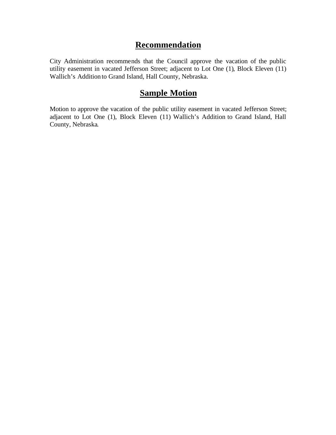### **Recommendation**

City Administration recommends that the Council approve the vacation of the public utility easement in vacated Jefferson Street; adjacent to Lot One (1), Block Eleven (11) Wallich's Addition to Grand Island, Hall County, Nebraska.

#### **Sample Motion**

Motion to approve the vacation of the public utility easement in vacated Jefferson Street; adjacent to Lot One (1), Block Eleven (11) Wallich's Addition to Grand Island, Hall County, Nebraska.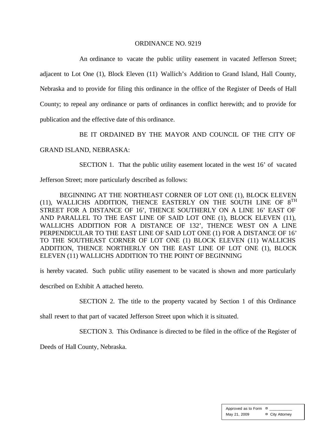#### ORDINANCE NO. 9219

An ordinance to vacate the public utility easement in vacated Jefferson Street; adjacent to Lot One (1), Block Eleven (11) Wallich's Addition to Grand Island, Hall County, Nebraska and to provide for filing this ordinance in the office of the Register of Deeds of Hall County; to repeal any ordinance or parts of ordinances in conflict herewith; and to provide for publication and the effective date of this ordinance.

BE IT ORDAINED BY THE MAYOR AND COUNCIL OF THE CITY OF

#### GRAND ISLAND, NEBRASKA:

SECTION 1. That the public utility easement located in the west 16' of vacated Jefferson Street; more particularly described as follows:

BEGINNING AT THE NORTHEAST CORNER OF LOT ONE (1), BLOCK ELEVEN (11), WALLICHS ADDITION, THENCE EASTERLY ON THE SOUTH LINE OF  $8^{TH}$ STREET FOR A DISTANCE OF 16', THENCE SOUTHERLY ON A LINE 16' EAST OF AND PARALLEL TO THE EAST LINE OF SAID LOT ONE (1), BLOCK ELEVEN (11), WALLICHS ADDITION FOR A DISTANCE OF 132', THENCE WEST ON A LINE PERPENDICULAR TO THE EAST LINE OF SAID LOT ONE (1) FOR A DISTANCE OF 16' TO THE SOUTHEAST CORNER OF LOT ONE (1) BLOCK ELEVEN (11) WALLICHS ADDITION, THENCE NORTHERLY ON THE EAST LINE OF LOT ONE (1), BLOCK ELEVEN (11) WALLICHS ADDITION TO THE POINT OF BEGINNING

is hereby vacated. Such public utility easement to be vacated is shown and more particularly

described on Exhibit A attached hereto.

SECTION 2. The title to the property vacated by Section 1 of this Ordinance

shall revert to that part of vacated Jefferson Street upon which it is situated.

SECTION 3. This Ordinance is directed to be filed in the office of the Register of

Deeds of Hall County, Nebraska.